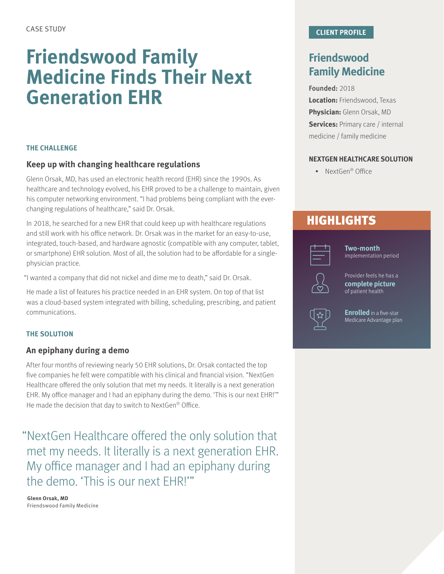# **Friendswood Family Medicine Finds Their Next Generation EHR**

## **THE CHALLENGE**

# **Keep up with changing healthcare regulations**

Glenn Orsak, MD, has used an electronic health record (EHR) since the 1990s. As healthcare and technology evolved, his EHR proved to be a challenge to maintain, given his computer networking environment. "I had problems being compliant with the everchanging regulations of healthcare," said Dr. Orsak.

In 2018, he searched for a new EHR that could keep up with healthcare regulations and still work with his office network. Dr. Orsak was in the market for an easy-to-use, integrated, touch-based, and hardware agnostic (compatible with any computer, tablet, or smartphone) EHR solution. Most of all, the solution had to be affordable for a singlephysician practice.

"I wanted a company that did not nickel and dime me to death," said Dr. Orsak.

He made a list of features his practice needed in an EHR system. On top of that list was a cloud-based system integrated with billing, scheduling, prescribing, and patient communications.

### **THE SOLUTION**

## **An epiphany during a demo**

After four months of reviewing nearly 50 EHR solutions, Dr. Orsak contacted the top five companies he felt were compatible with his clinical and financial vision. "NextGen Healthcare offered the only solution that met my needs. It literally is a next generation EHR. My office manager and I had an epiphany during the demo. 'This is our next EHR!'" He made the decision that day to switch to NextGen® Office.

"NextGen Healthcare offered the only solution that met my needs. It literally is a next generation EHR. My office manager and I had an epiphany during the demo. 'This is our next EHR!'"

**Glenn Orsak, MD**  Friendswood Family Medicine

# **Friendswood Family Medicine**

#### Founded: 2018

**Location:** Friendswood, Texas **Physician:** Glenn Orsak, MD **Services: Primary care / internal** medicine / family medicine

## **NEXTGEN HEALTHCARE SOLUTION**

• NextGen® Office

# **HIGHLIGHTS**



**Two-month**  implementation period



Provider feels he has a **complete picture** of patient health

**Enrolled** in a five-star Medicare Advantage plan